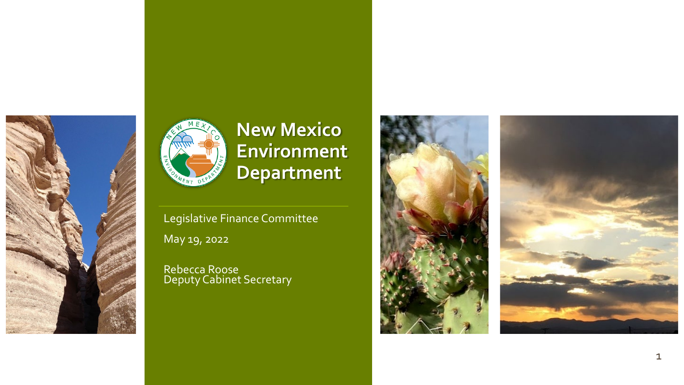



### **New Mexico Environment Department**

Legislative Finance Committee May 19, 2022

Rebecca Roose Deputy Cabinet Secretary

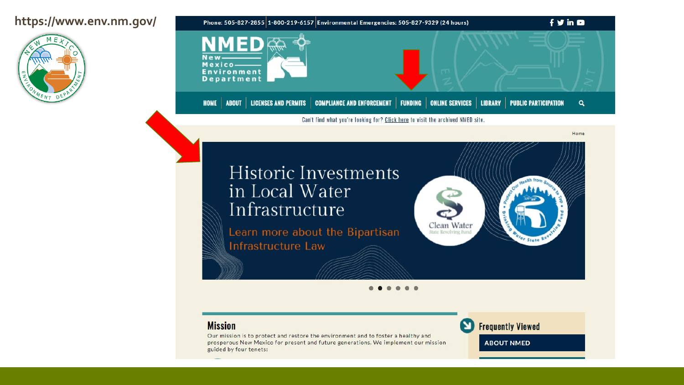#### **https://www.env.nm.gov/**





### **Historic Investments** in Local Water Infrastructure

Learn more about the Bipartisan Infrastructure Law



Home

#### **Mission**

Our mission is to protect and restore the environment and to foster a healthy and prosperous New Mexico for present and future generations. We implement our mission guided by four tenets:

**Frequently Viewed** 

**ABOUT NMED**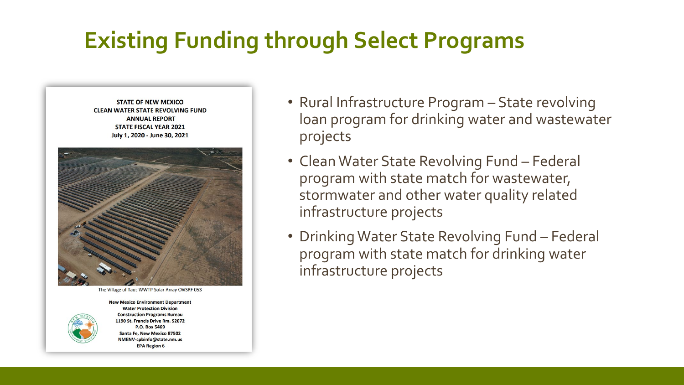# **Existing Funding through Select Programs**



The Village of Taos WWTP Solar Array CWSRF 053



**New Mexico Environment Department Water Protection Division Construction Programs Bureau** 1190 St. Francis Drive Rm. S2072 P.O. Box 5469 Santa Fe, New Mexico 87502 NMENV-cpbinfo@state.nm.us **EPA Region 6** 

- Rural Infrastructure Program State revolving loan program for drinking water and wastewater projects
- Clean Water State Revolving Fund Federal program with state match for wastewater, stormwater and other water quality related infrastructure projects
- Drinking Water State Revolving Fund Federal program with state match for drinking water infrastructure projects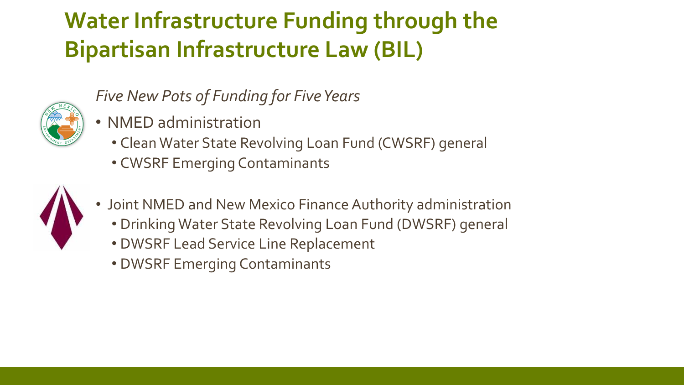# **Water Infrastructure Funding through the Bipartisan Infrastructure Law (BIL)**



*Five New Pots of Funding for Five Years*

- NMED administration
	- Clean Water State Revolving Loan Fund (CWSRF) general
	- CWSRF Emerging Contaminants



- Joint NMED and New Mexico Finance Authority administration
	- Drinking Water State Revolving Loan Fund (DWSRF) general
	- DWSRF Lead Service Line Replacement
	- DWSRF Emerging Contaminants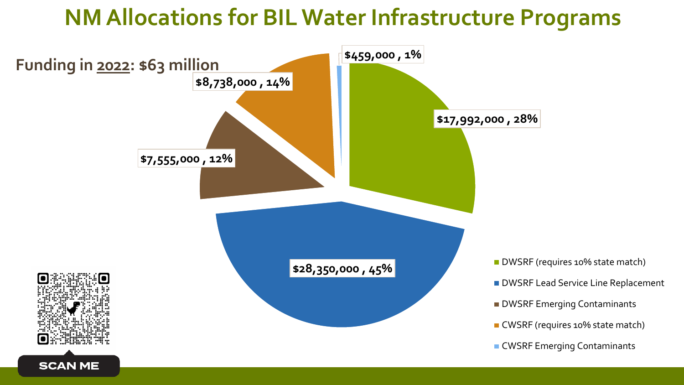## **NM Allocations for BIL Water Infrastructure Programs**

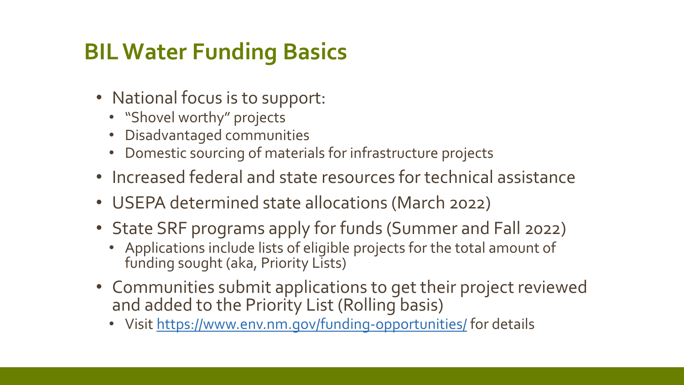# **BIL Water Funding Basics**

- National focus is to support:
	- "Shovel worthy" projects
	- Disadvantaged communities
	- Domestic sourcing of materials for infrastructure projects
- Increased federal and state resources for technical assistance
- USEPA determined state allocations (March 2022)
- State SRF programs apply for funds (Summer and Fall 2022)
	- Applications include lists of eligible projects for the total amount of funding sought (aka, Priority Lists)
- Communities submit applications to get their project reviewed and added to the Priority List (Rolling basis)
	- Visit <https://www.env.nm.gov/funding-opportunities/> for details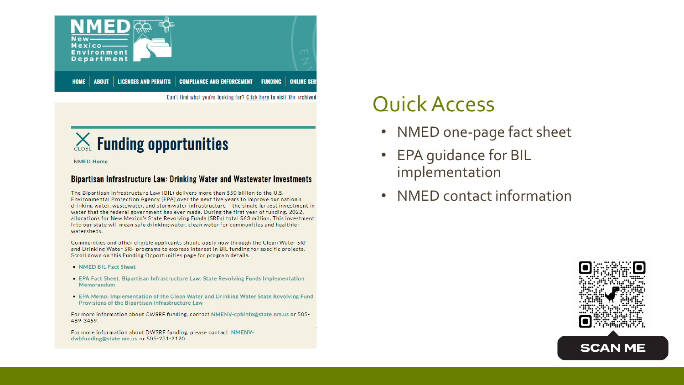

Can't find what you're looking for? Click here to visit the archived

### **Example 12 Section 2 Funding opportunities**

**NMED Home** 

#### Bipartisan Infrastructure Law: Drinking Water and Wastewater Investments

The Bipartisan Infrastructure Law (BIL) delivers more than \$50 billion to the U.S. Environmental Protection Agency (EPA) over the next five years to improve our nation's drinking water, wastewater, and stormwater infrastructure - the single largest investment in water that the federal government has ever made. During the first year of funding, 2022, allocations for New Mexico's State Revolving Funds (SRFs) total \$63 million. This investment into our state will mean safe drinking water, clean water for communities and healthier watersheds.

Communities and other eligible applicants should apply now through the Clean Water SRF and Drinking Water SRF programs to express interest in BIL funding for specific projects. Scroll down on this Funding Opportunities page for program details.

- NMED BIL Fact Sheet
- EPA Fact Sheet: Bipartisan Infrastructure Law: State Revolving Funds Implementation Memorandum
- EPA Memo: Implementation of the Clean Water and Drinking Water State Revolving Fund Provisions of the Bipartisan Infrastructure Law

For more information about CWSRF funding, contact NMENV-cpbinfo@state.nm.us or 505-469-3459.

For more information about DWSRF funding, please contact NMENVdwbfunding@state.nm.us or 505-231-2120.

## Quick Access

- NMED one-page fact sheet
- EPA guidance for BIL implementation
- NMED contact information

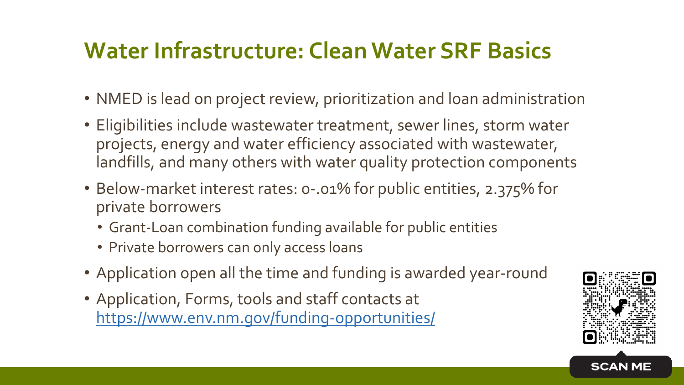## **Water Infrastructure: Clean Water SRF Basics**

- NMED is lead on project review, prioritization and loan administration
- Eligibilities include wastewater treatment, sewer lines, storm water projects, energy and water efficiency associated with wastewater, landfills, and many others with water quality protection components
- Below-market interest rates: 0-.01% for public entities, 2.375% for private borrowers
	- Grant-Loan combination funding available for public entities
	- Private borrowers can only access loans
- Application open all the time and funding is awarded year-round
- Application, Forms, tools and staff contacts at <https://www.env.nm.gov/funding-opportunities/>



**SCAN ME**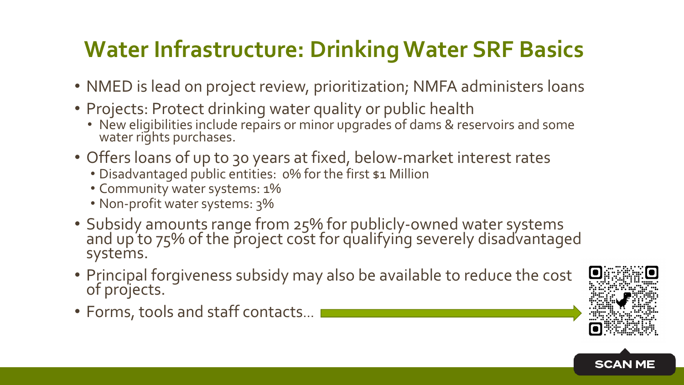# **Water Infrastructure: Drinking Water SRF Basics**

- NMED is lead on project review, prioritization; NMFA administers loans
- Projects: Protect drinking water quality or public health
	- New eligibilities include repairs or minor upgrades of dams & reservoirs and some water rights purchases.
- Offers loans of up to 30 years at fixed, below-market interest rates
	- Disadvantaged public entities: 0% for the first \$1 Million
	- Community water systems: 1%
	- Non-profit water systems: 3%
- Subsidy amounts range from 25% for publicly-owned water systems and up to 75% of the project cost for qualifying severely disadvantaged systems.
- Principal forgiveness subsidy may also be available to reduce the cost of projects.
- Forms, tools and staff contacts…



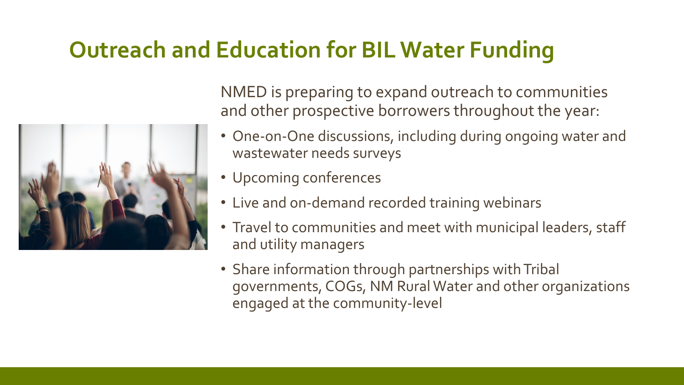## **Outreach and Education for BIL Water Funding**



NMED is preparing to expand outreach to communities and other prospective borrowers throughout the year:

- One-on-One discussions, including during ongoing water and wastewater needs surveys
- Upcoming conferences
- Live and on-demand recorded training webinars
- Travel to communities and meet with municipal leaders, staff and utility managers
- Share information through partnerships with Tribal governments, COGs, NM Rural Water and other organizations engaged at the community-level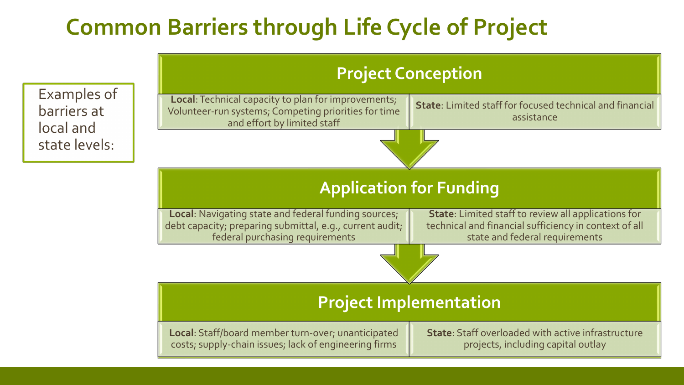# **Common Barriers through Life Cycle of Project**

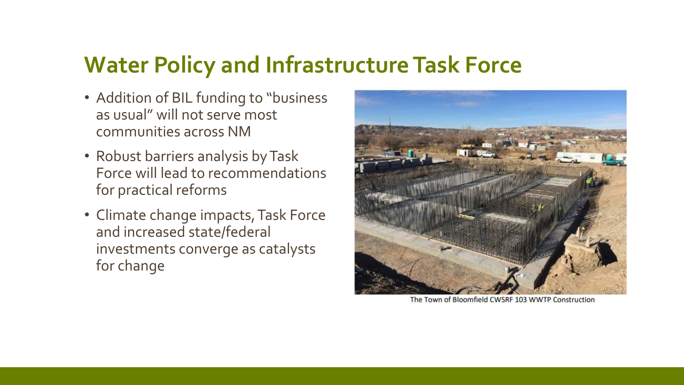## **Water Policy and Infrastructure Task Force**

- Addition of BIL funding to "business as usual" will not serve most communities across NM
- Robust barriers analysis by Task Force will lead to recommendations for practical reforms
- Climate change impacts, Task Force and increased state/federal investments converge as catalysts for change



The Town of Bloomfield CWSRF 103 WWTP Construction